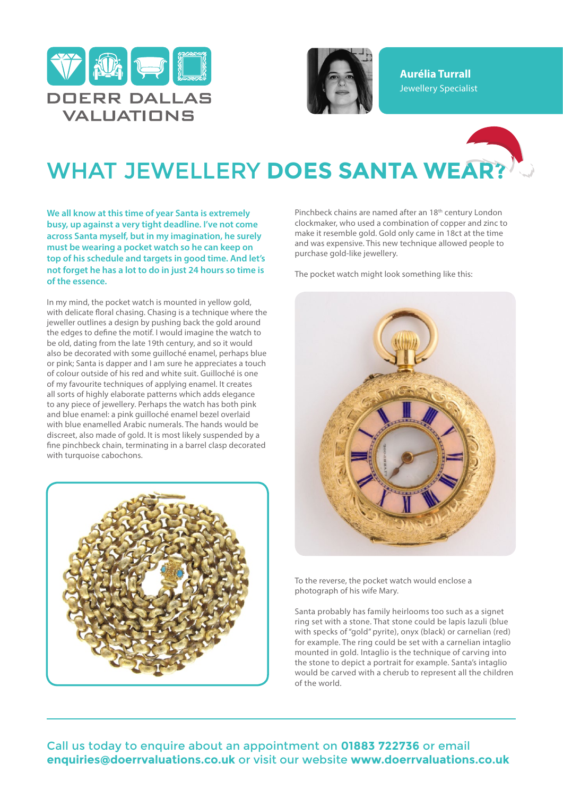



**Aurélia Turrall** Jewellery Specialist

## WHAT JEWELLERY **DOES SANTA WEAR?**

**We all know at this time of year Santa is extremely busy, up against a very tight deadline. I've not come across Santa myself, but in my imagination, he surely must be wearing a pocket watch so he can keep on top of his schedule and targets in good time. And let's not forget he has a lot to do in just 24 hours so time is of the essence.**

In my mind, the pocket watch is mounted in yellow gold, with delicate floral chasing. Chasing is a technique where the jeweller outlines a design by pushing back the gold around the edges to define the motif. I would imagine the watch to be old, dating from the late 19th century, and so it would also be decorated with some guilloché enamel, perhaps blue or pink; Santa is dapper and I am sure he appreciates a touch of colour outside of his red and white suit. Guilloché is one of my favourite techniques of applying enamel. It creates all sorts of highly elaborate patterns which adds elegance to any piece of jewellery. Perhaps the watch has both pink and blue enamel: a pink guilloché enamel bezel overlaid with blue enamelled Arabic numerals. The hands would be discreet, also made of gold. It is most likely suspended by a fine pinchbeck chain, terminating in a barrel clasp decorated with turquoise cabochons.



Pinchbeck chains are named after an 18<sup>th</sup> century London clockmaker, who used a combination of copper and zinc to make it resemble gold. Gold only came in 18ct at the time and was expensive. This new technique allowed people to purchase gold-like jewellery.

The pocket watch might look something like this:



To the reverse, the pocket watch would enclose a photograph of his wife Mary.

Santa probably has family heirlooms too such as a signet ring set with a stone. That stone could be lapis lazuli (blue with specks of "gold" pyrite), onyx (black) or carnelian (red) for example. The ring could be set with a carnelian intaglio mounted in gold. Intaglio is the technique of carving into the stone to depict a portrait for example. Santa's intaglio would be carved with a cherub to represent all the children of the world.

Call us today to enquire about an appointment on **01883 722736** or email **enquiries@doerrvaluations.co.uk** or visit our website **www.doerrvaluations.co.uk**